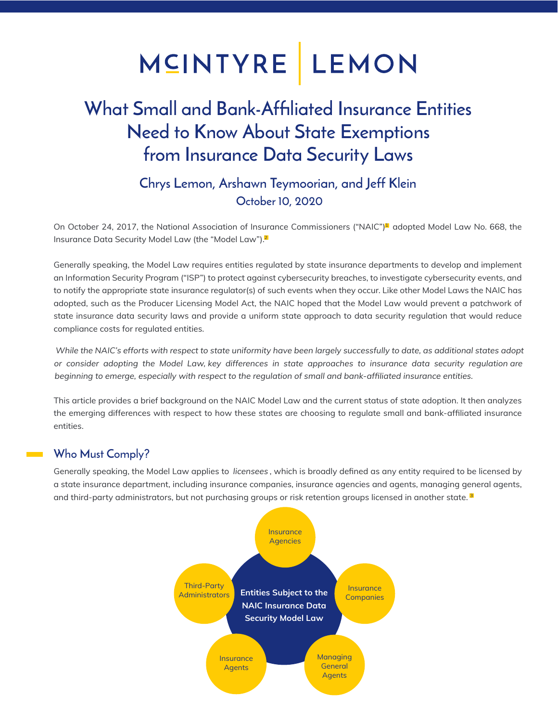## MCINTYRE LEMON

### What Small and Bank-Affiliated Insurance Entities Need to Know About State Exemptions from Insurance Data Security Laws

#### Chrys Lemon, Arshawn Teymoorian, and Jeff Klein October 10, 2020

On October 24, 2017, the National Association of Insurance Commissioners ("NAIC")<sup>1</sup> adopted Model Law No. 668, the Insurance Data Security Model Law (the "Model Law").<sup>2</sup>

Generally speaking, the Model Law requires entities regulated by state insurance departments to develop and implement an Information Security Program ("ISP") to protect against cybersecurity breaches, to investigate cybersecurity events, and to notify the appropriate state insurance regulator(s) of such events when they occur. Like other Model Laws the NAIC has adopted, such as the Producer Licensing Model Act, the NAIC hoped that the Model Law would prevent a patchwork of state insurance data security laws and provide a uniform state approach to data security regulation that would reduce compliance costs for regulated entities.

While the NAIC's efforts with respect to state uniformity have been largely successfully to date, as additional states adopt or consider adopting the Model Law, key differences in state approaches to insurance data security regulation are beginning to emerge, especially with respect to the regulation of small and bank-affiliated insurance entities.

This article provides a brief background on the NAIC Model Law and the current status of state adoption. It then analyzes the emerging differences with respect to how these states are choosing to regulate small and bank-affiliated insurance entities.

#### Who Must Comply?

Generally speaking, the Model Law applies to licensees, which is broadly defined as any entity required to be licensed by a state insurance department, including insurance companies, insurance agencies and agents, managing general agents, and third-party administrators, but not purchasing groups or risk retention groups licensed in another state.<sup>3</sup>

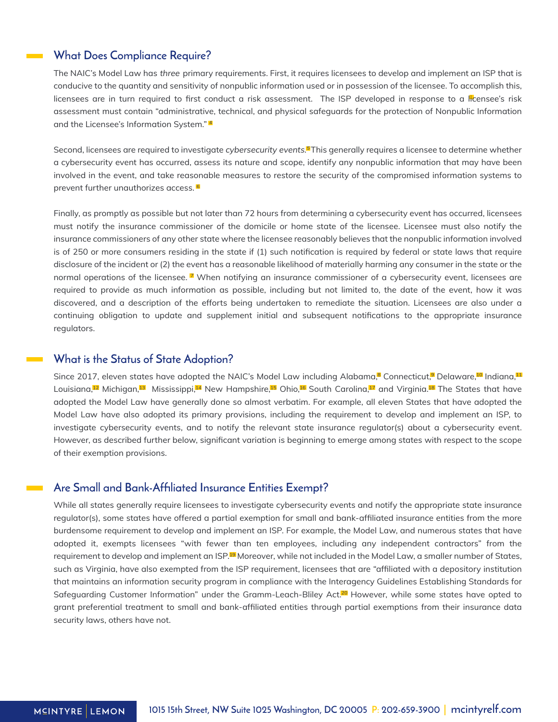#### What Does Compliance Require?

The NAIC's Model Law has three primary requirements. First, it requires licensees to develop and implement an ISP that is conducive to the quantity and sensitivity of nonpublic information used or in possession of the licensee. To accomplish this, licensees are in turn required to first conduct a risk assessment. The ISP developed in response to a licensee's risk assessment must contain "administrative, technical, and physical safeguards for the protection of Nonpublic Information and the Licensee's Information System." 4

Second, licensees are required to investigate *cybersecurity events.*¶This generally requires a licensee to determine whether a cybersecurity event has occurred, assess its nature and scope, identify any nonpublic information that may have been involved in the event, and take reasonable measures to restore the security of the compromised information systems to prevent further unauthorizes access.<sup>6</sup>

Finally, as promptly as possible but not later than 72 hours from determining a cybersecurity event has occurred, licensees must notify the insurance commissioner of the domicile or home state of the licensee. Licensee must also notify the insurance commissioners of any other state where the licensee reasonably believes that the nonpublic information involved is of 250 or more consumers residing in the state if (1) such notification is required by federal or state laws that require disclosure of the incident or (2) the event has a reasonable likelihood of materially harming any consumer in the state or the normal operations of the licensee. <sup>7</sup> When notifying an insurance commissioner of a cybersecurity event, licensees are required to provide as much information as possible, including but not limited to, the date of the event, how it was discovered, and a description of the efforts being undertaken to remediate the situation. Licensees are also under a continuing obligation to update and supplement initial and subsequent notifications to the appropriate insurance regulators.

#### What is the Status of State Adoption?

Since 2017, eleven states have adopted the NAIC's Model Law including Alabama,<sup>a</sup> Connecticut,<sup>a</sup> Delaware,<sup>10</sup> Indiana,<sup>11</sup> Louisiana,<sup>12</sup> Michigan,<sup>13</sup> Mississippi,14 New Hampshire,15 Ohio,16 South Carolina,14 and Virginia.<sup>18</sup> The States that have adopted the Model Law have generally done so almost verbatim. For example, all eleven States that have adopted the Model Law have also adopted its primary provisions, including the requirement to develop and implement an ISP, to investigate cybersecurity events, and to notify the relevant state insurance regulator(s) about a cybersecurity event. However, as described further below, significant variation is beginning to emerge among states with respect to the scope of their exemption provisions.

#### Are Small and Bank-Affiliated Insurance Entities Exempt?

While all states generally require licensees to investigate cybersecurity events and notify the appropriate state insurance regulator(s), some states have offered a partial exemption for small and bank-affiliated insurance entities from the more burdensome requirement to develop and implement an ISP. For example, the Model Law, and numerous states that have adopted it, exempts licensees "with fewer than ten employees, including any independent contractors" from the requirement to develop and implement an ISP.<sup>19</sup> Moreover, while not included in the Model Law, a smaller number of States, such as Virginia, have also exempted from the ISP requirement, licensees that are "affiliated with a depository institution that maintains an information security program in compliance with the Interagency Guidelines Establishing Standards for Safeguarding Customer Information" under the Gramm-Leach-Bliley Act.<sup>20</sup> However, while some states have opted to grant preferential treatment to small and bank-affiliated entities through partial exemptions from their insurance data security laws, others have not.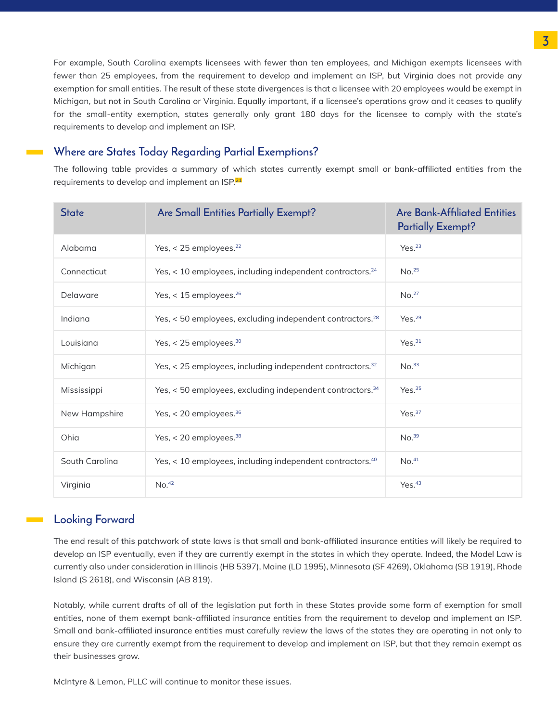For example, South Carolina exempts licensees with fewer than ten employees, and Michigan exempts licensees with fewer than 25 employees, from the requirement to develop and implement an ISP, but Virginia does not provide any exemption for small entities. The result of these state divergences is that a licensee with 20 employees would be exempt in Michigan, but not in South Carolina or Virginia. Equally important, if a licensee's operations grow and it ceases to qualify for the small-entity exemption, states generally only grant 180 days for the licensee to comply with the state's requirements to develop and implement an ISP.

#### Where are States Today Regarding Partial Exemptions?

The following table provides a summary of which states currently exempt small or bank-affiliated entities from the requirements to develop and implement an ISP.<sup>21</sup>

| <b>State</b>   | Are Small Entities Partially Exempt?                                  | <b>Are Bank-Affiliated Entities</b><br><b>Partially Exempt?</b> |
|----------------|-----------------------------------------------------------------------|-----------------------------------------------------------------|
| Alabama        | Yes, $<$ 25 employees. <sup>22</sup>                                  | Yes. <sup>23</sup>                                              |
| Connecticut    | Yes, < 10 employees, including independent contractors. <sup>24</sup> | No. <sup>25</sup>                                               |
| Delaware       | Yes, $<$ 15 employees. <sup>26</sup>                                  | No. <sup>27</sup>                                               |
| Indiana        | Yes, < 50 employees, excluding independent contractors. <sup>28</sup> | Yes. <sup>29</sup>                                              |
| Louisiana      | Yes, $<$ 25 employees. $30$                                           | Yes. <sup>31</sup>                                              |
| Michigan       | Yes, < 25 employees, including independent contractors. <sup>32</sup> | No. <sup>33</sup>                                               |
| Mississippi    | Yes, < 50 employees, excluding independent contractors. <sup>34</sup> | Yes. <sup>35</sup>                                              |
| New Hampshire  | Yes, < 20 employees. <sup>36</sup>                                    | Yes. <sup>37</sup>                                              |
| Ohia           | Yes, < 20 employees. <sup>38</sup>                                    | No.39                                                           |
| South Carolina | Yes, < 10 employees, including independent contractors. <sup>40</sup> | No. <sup>41</sup>                                               |
| Virginia       | No. <sup>42</sup>                                                     | Yes. <sup>43</sup>                                              |

#### Looking Forward

The end result of this patchwork of state laws is that small and bank-affiliated insurance entities will likely be required to develop an ISP eventually, even if they are currently exempt in the states in which they operate. Indeed, the Model Law is currently also under consideration in Illinois (HB 5397), Maine (LD 1995), Minnesota (SF 4269), Oklahoma (SB 1919), Rhode Island (S 2618), and Wisconsin (AB 819).

Notably, while current drafts of all of the legislation put forth in these States provide some form of exemption for small entities, none of them exempt bank-affiliated insurance entities from the requirement to develop and implement an ISP. Small and bank-affiliated insurance entities must carefully review the laws of the states they are operating in not only to ensure they are currently exempt from the requirement to develop and implement an ISP, but that they remain exempt as their businesses grow.

McIntyre & Lemon, PLLC will continue to monitor these issues.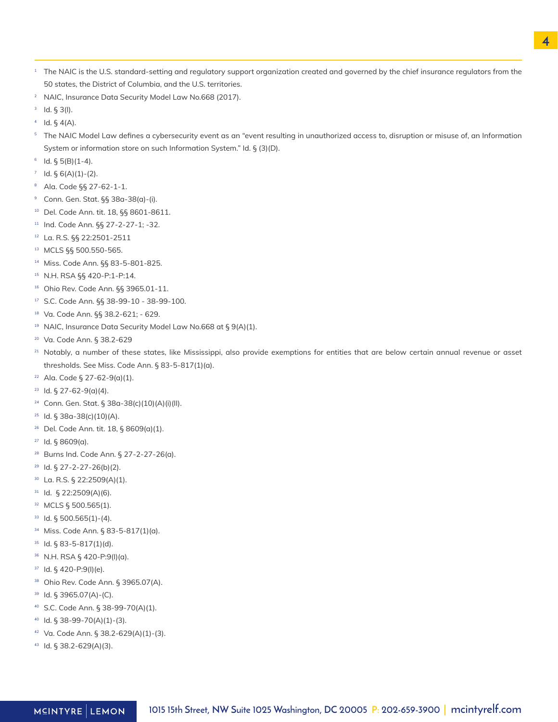- $^{\rm 1}$  The NAIC is the U.S. standard-setting and regulatory support organization created and governed by the chief insurance regulators from the 50 states, the District of Columbia, and the U.S. territories.
- NAIC, Insurance Data Security Model Law No.668 (2017). 2
- $3$  Id. § 3(I).
- $4$  Id. § 4(A).
- $5$  The NAIC Model Law defines a cybersecurity event as an "event resulting in unauthorized access to, disruption or misuse of, an Information System or information store on such Information System." Id. § (3)(D).
- $6$  Id. § 5(B)(1-4).
- $1$  d. § 6(A)(1)-(2).
- <sup>8</sup> Ala. Code §§ 27-62-1-1.
- <sup>9</sup> Conn. Gen. Stat. §§ 38a-38(a)-(i).
- <sup>10</sup> Del. Code Ann. tit. 18, §§ 8601-8611.
- <sup>11</sup> Ind. Code Ann. §§ 27-2-27-1; -32.
- La. R.S. §§ 22:2501-2511 12
- MCLS §§ 500.550-565. 13
- 14 Miss. Code Ann. §§ 83-5-801-825.
- N.H. RSA §§ 420-P:1-P:14. 15
- <sup>16</sup> Ohio Rev. Code Ann. §§ 3965.01-11.
- S.C. Code Ann. §§ 38-99-10 38-99-100. 17
- Va. Code Ann. §§ 38.2-621; 629. 18
- $19$  NAIC, Insurance Data Security Model Law No.668 at § 9(A)(1).
- Va. Code Ann. § 38.2-629 20
- $21$  Notably, a number of these states, like Mississippi, also provide exemptions for entities that are below certain annual revenue or asset thresholds. See Miss. Code Ann. § 83-5-817(1)(a).
- Ala. Code § 27-62-9(a)(1). 22
- <sup>23</sup> Id. § 27-62-9(a)(4).
- Conn. Gen. Stat. § 38a-38(c)(10)(A)(i)(II). 24
- <sup>25</sup> Id. § 38a-38(c)(10)(A).
- <sup>26</sup> Del. Code Ann. tit. 18, § 8609(a)(1).
- $27$  ld. § 8609(a).
- <sup>28</sup> Burns Ind. Code Ann. § 27-2-27-26(a).
- $29$  ld. § 27-2-27-26(b)(2).
- $30$  La. R.S. § 22:2509(A)(1).
- $31$  Id. § 22:2509(A)(6).
- MCLS § 500.565(1). 32
- $33$  Id. § 500.565(1)-(4).
- <sup>34</sup> Miss. Code Ann. § 83-5-817(1)(a).
- $35$  Id. § 83-5-817(1)(d).
- N.H. RSA § 420-P:9(I)(a). 36
- $37$  ld. § 420-P:9(I)(e).
- <sup>38</sup> Ohio Rev. Code Ann. § 3965.07(A).
- $39$  Id. § 3965.07(A)-(C).
- S.C. Code Ann. § 38-99-70(A)(1). 40
- $40$  Id. § 38-99-70(A)(1)-(3).
- Va. Code Ann. § 38.2-629(A)(1)-(3). 42
- 43 Id. § 38.2-629(A)(3).